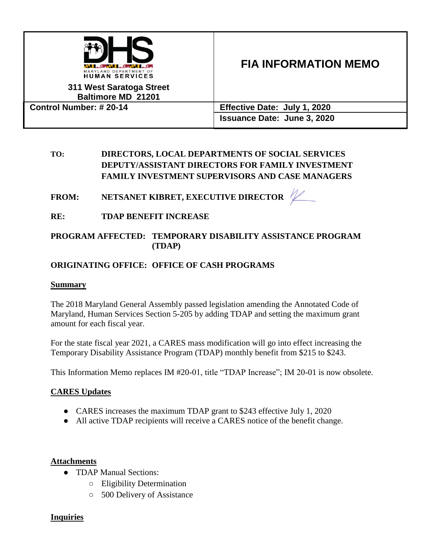

# **FIA INFORMATION MEMO**

**311 West Saratoga Street Baltimore MD 21201**

**Control Number: # 20-14 Effective Date: July 1, 2020 Issuance Date: June 3, 2020**

### **TO: DIRECTORS, LOCAL DEPARTMENTS OF SOCIAL SERVICES DEPUTY/ASSISTANT DIRECTORS FOR FAMILY INVESTMENT FAMILY INVESTMENT SUPERVISORS AND CASE MANAGERS**

**FROM: NETSANET KIBRET, EXECUTIVE DIRECTOR** 

**RE: TDAP BENEFIT INCREASE** 

### **PROGRAM AFFECTED: TEMPORARY DISABILITY ASSISTANCE PROGRAM (TDAP)**

## **ORIGINATING OFFICE: OFFICE OF CASH PROGRAMS**

### **Summary**

The 2018 Maryland General Assembly passed legislation amending the Annotated Code of Maryland, Human Services Section 5-205 by adding TDAP and setting the maximum grant amount for each fiscal year.

For the state fiscal year 2021, a CARES mass modification will go into effect increasing the Temporary Disability Assistance Program (TDAP) monthly benefit from \$215 to \$243.

This Information Memo replaces IM #20-01, title "TDAP Increase"; IM 20-01 is now obsolete.

## **CARES Updates**

- CARES increases the maximum TDAP grant to \$243 effective July 1, 2020
- All active TDAP recipients will receive a CARES notice of the benefit change.

### **Attachments**

- TDAP Manual Sections:
	- Eligibility Determination
	- 500 Delivery of Assistance

## **Inquiries**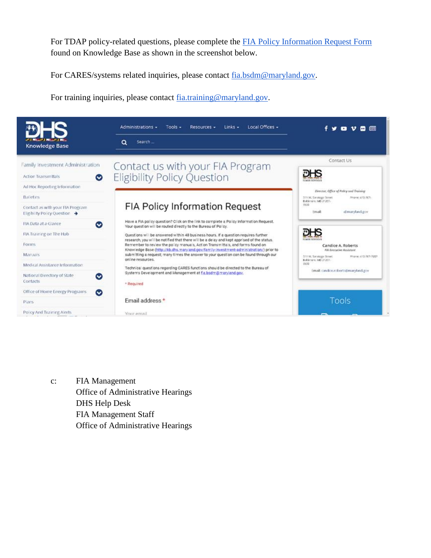For TDAP policy-related questions, please complete the [FIA Policy Information Request Form](http://kb.dhs.maryland.gov/family-investment-administration/contact-us-with-your-fia-program-eligibility-policy-question/) found on Knowledge Base as shown in the screenshot below.

For CARES/systems related inquiries, please contact [fia.bsdm@maryland.gov.](mailto:fia.bsdm@maryland.gov)

For training inquiries, please contact [fia.training@maryland.gov.](mailto:fia.training@maryland.gov)



c: FIA Management Office of Administrative Hearings DHS Help Desk FIA Management Staff Office of Administrative Hearings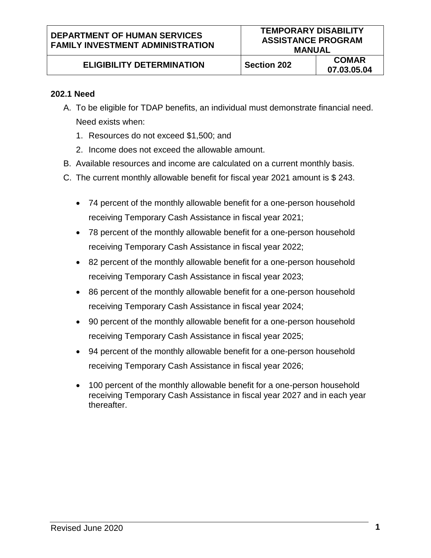#### **202.1 Need**

- A. To be eligible for TDAP benefits, an individual must demonstrate financial need. Need exists when:
	- 1. Resources do not exceed \$1,500; and
	- 2. Income does not exceed the allowable amount.
- B. Available resources and income are calculated on a current monthly basis.
- C. The current monthly allowable benefit for fiscal year 2021 amount is \$ 243.
	- 74 percent of the monthly allowable benefit for a one-person household receiving Temporary Cash Assistance in fiscal year 2021;
	- 78 percent of the monthly allowable benefit for a one-person household receiving Temporary Cash Assistance in fiscal year 2022;
	- 82 percent of the monthly allowable benefit for a one-person household receiving Temporary Cash Assistance in fiscal year 2023;
	- 86 percent of the monthly allowable benefit for a one-person household receiving Temporary Cash Assistance in fiscal year 2024;
	- 90 percent of the monthly allowable benefit for a one-person household receiving Temporary Cash Assistance in fiscal year 2025;
	- 94 percent of the monthly allowable benefit for a one-person household receiving Temporary Cash Assistance in fiscal year 2026;
	- 100 percent of the monthly allowable benefit for a one-person household receiving Temporary Cash Assistance in fiscal year 2027 and in each year thereafter.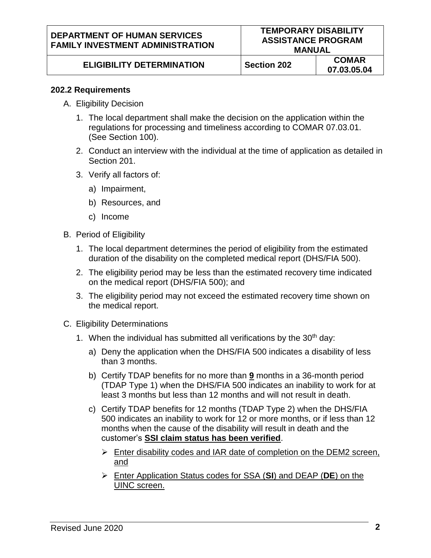# **ELIGIBILITY DETERMINATION** Section 202 COMAR

## **202.2 Requirements**

- A. Eligibility Decision
	- 1. The local department shall make the decision on the application within the regulations for processing and timeliness according to COMAR 07.03.01. (See Section 100).
	- 2. Conduct an interview with the individual at the time of application as detailed in Section 201.
	- 3. Verify all factors of:
		- a) Impairment,
		- b) Resources, and
		- c) Income
- B. Period of Eligibility
	- 1. The local department determines the period of eligibility from the estimated duration of the disability on the completed medical report (DHS/FIA 500).
	- 2. The eligibility period may be less than the estimated recovery time indicated on the medical report (DHS/FIA 500); and
	- 3. The eligibility period may not exceed the estimated recovery time shown on the medical report.
- C. Eligibility Determinations
	- 1. When the individual has submitted all verifications by the  $30<sup>th</sup>$  day:
		- a) Deny the application when the DHS/FIA 500 indicates a disability of less than 3 months.
		- b) Certify TDAP benefits for no more than **9** months in a 36-month period (TDAP Type 1) when the DHS/FIA 500 indicates an inability to work for at least 3 months but less than 12 months and will not result in death.
		- c) Certify TDAP benefits for 12 months (TDAP Type 2) when the DHS/FIA 500 indicates an inability to work for 12 or more months, or if less than 12 months when the cause of the disability will result in death and the customer's **SSI claim status has been verified**.
			- ➢ Enter disability codes and IAR date of completion on the DEM2 screen, and
			- ➢ Enter Application Status codes for SSA (**SI**) and DEAP (**DE**) on the UINC screen.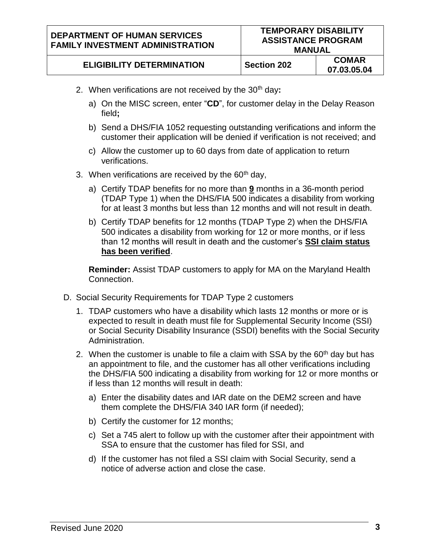#### **DEPARTMENT OF HUMAN SERVICES FAMILY INVESTMENT ADMINISTRATION**

# **ELIGIBILITY DETERMINATION** Section 202 COMAR

- 2. When verifications are not received by the 30<sup>th</sup> day:
	- a) On the MISC screen, enter "**CD**", for customer delay in the Delay Reason field**;**
	- b) Send a DHS/FIA 1052 requesting outstanding verifications and inform the customer their application will be denied if verification is not received; and
	- c) Allow the customer up to 60 days from date of application to return verifications.
- 3. When verifications are received by the  $60<sup>th</sup>$  day,
	- a) Certify TDAP benefits for no more than **9** months in a 36-month period (TDAP Type 1) when the DHS/FIA 500 indicates a disability from working for at least 3 months but less than 12 months and will not result in death.
	- b) Certify TDAP benefits for 12 months (TDAP Type 2) when the DHS/FIA 500 indicates a disability from working for 12 or more months, or if less than 12 months will result in death and the customer's **SSI claim status has been verified**.

**Reminder:** Assist TDAP customers to apply for MA on the Maryland Health Connection.

- D. Social Security Requirements for TDAP Type 2 customers
	- 1. TDAP customers who have a disability which lasts 12 months or more or is expected to result in death must file for Supplemental Security Income (SSI) or Social Security Disability Insurance (SSDI) benefits with the Social Security Administration.
	- 2. When the customer is unable to file a claim with SSA by the  $60<sup>th</sup>$  day but has an appointment to file, and the customer has all other verifications including the DHS/FIA 500 indicating a disability from working for 12 or more months or if less than 12 months will result in death:
		- a) Enter the disability dates and IAR date on the DEM2 screen and have them complete the DHS/FIA 340 IAR form (if needed);
		- b) Certify the customer for 12 months;
		- c) Set a 745 alert to follow up with the customer after their appointment with SSA to ensure that the customer has filed for SSI, and
		- d) If the customer has not filed a SSI claim with Social Security, send a notice of adverse action and close the case.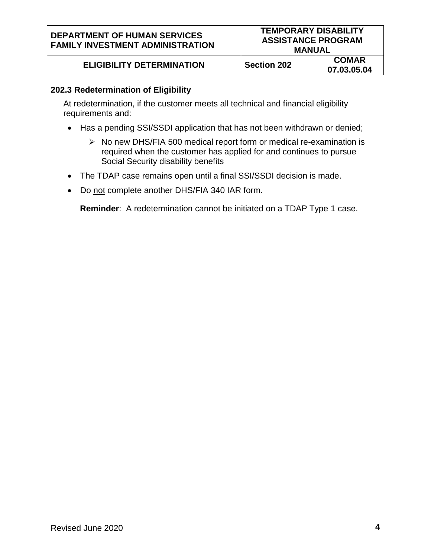#### **DEPARTMENT OF HUMAN SERVICES FAMILY INVESTMENT ADMINISTRATION**

# **ELIGIBILITY DETERMINATION** Section 202 COMAR

# **202.3 Redetermination of Eligibility**

At redetermination, if the customer meets all technical and financial eligibility requirements and:

- Has a pending SSI/SSDI application that has not been withdrawn or denied;
	- ➢ No new DHS/FIA 500 medical report form or medical re-examination is required when the customer has applied for and continues to pursue Social Security disability benefits
- The TDAP case remains open until a final SSI/SSDI decision is made.
- Do not complete another DHS/FIA 340 IAR form.

**Reminder**: A redetermination cannot be initiated on a TDAP Type 1 case.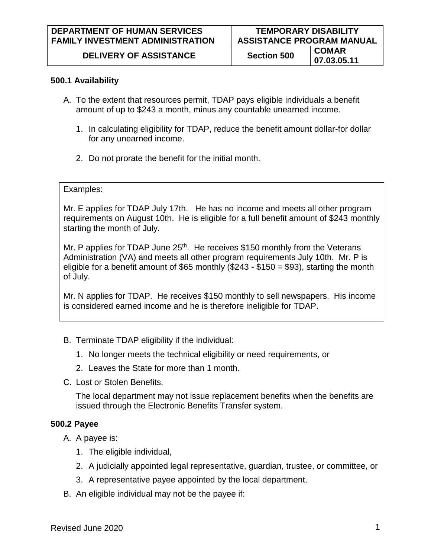#### **500.1 Availability**

- A. To the extent that resources permit, TDAP pays eligible individuals a benefit amount of up to \$243 a month, minus any countable unearned income.
	- 1. In calculating eligibility for TDAP, reduce the benefit amount dollar-for dollar for any unearned income.
	- 2. Do not prorate the benefit for the initial month.

#### Examples:

Mr. E applies for TDAP July 17th. He has no income and meets all other program requirements on August 10th. He is eligible for a full benefit amount of \$243 monthly starting the month of July.

Mr. P applies for TDAP June  $25<sup>th</sup>$ . He receives \$150 monthly from the Veterans Administration (VA) and meets all other program requirements July 10th. Mr. P is eligible for a benefit amount of \$65 monthly (\$243 - \$150 = \$93), starting the month of July.

Mr. N applies for TDAP. He receives \$150 monthly to sell newspapers. His income is considered earned income and he is therefore ineligible for TDAP.

- B. Terminate TDAP eligibility if the individual:
	- 1. No longer meets the technical eligibility or need requirements, or
	- 2. Leaves the State for more than 1 month.
- C. Lost or Stolen Benefits.

The local department may not issue replacement benefits when the benefits are issued through the Electronic Benefits Transfer system.

### **500.2 Payee**

- A. A payee is:
	- 1. The eligible individual,
	- 2. A judicially appointed legal representative, guardian, trustee, or committee, or
	- 3. A representative payee appointed by the local department.
- B. An eligible individual may not be the payee if: